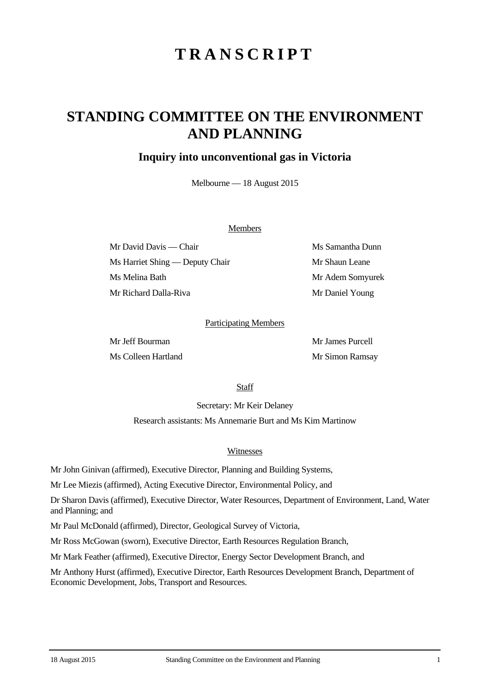# **TRANSCRIPT**

## **STANDING COMMITTEE ON THE ENVIRONMENT AND PLANNING**

## **Inquiry into unconventional gas in Victoria**

Melbourne — 18 August 2015

#### Members

Mr David Davis — Chair Ms Samantha Dunn Ms Harriet Shing — Deputy Chair Mr Shaun Leane Ms Melina Bath Mr Adem Somyurek Mr Richard Dalla-Riva Mr Daniel Young

#### Participating Members

Mr Jeff Bourman Mr James Purcell Ms Colleen Hartland Mr Simon Ramsay

**Staff** 

Secretary: Mr Keir Delaney

Research assistants: Ms Annemarie Burt and Ms Kim Martinow

#### Witnesses

Mr John Ginivan (affirmed), Executive Director, Planning and Building Systems,

Mr Lee Miezis (affirmed), Acting Executive Director, Environmental Policy, and

Dr Sharon Davis (affirmed), Executive Director, Water Resources, Department of Environment, Land, Water and Planning; and

Mr Paul McDonald (affirmed), Director, Geological Survey of Victoria,

Mr Ross McGowan (sworn), Executive Director, Earth Resources Regulation Branch,

Mr Mark Feather (affirmed), Executive Director, Energy Sector Development Branch, and

Mr Anthony Hurst (affirmed), Executive Director, Earth Resources Development Branch, Department of Economic Development, Jobs, Transport and Resources.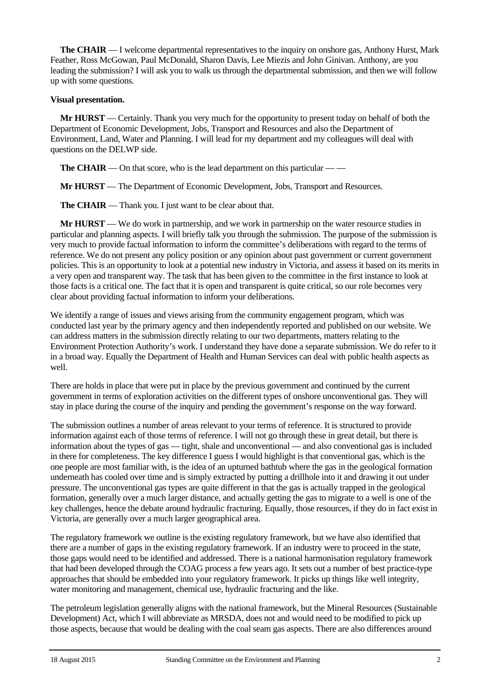**The CHAIR** — I welcome departmental representatives to the inquiry on onshore gas, Anthony Hurst, Mark Feather, Ross McGowan, Paul McDonald, Sharon Davis, Lee Miezis and John Ginivan. Anthony, are you leading the submission? I will ask you to walk us through the departmental submission, and then we will follow up with some questions.

#### **Visual presentation.**

**Mr HURST** — Certainly. Thank you very much for the opportunity to present today on behalf of both the Department of Economic Development, Jobs, Transport and Resources and also the Department of Environment, Land, Water and Planning. I will lead for my department and my colleagues will deal with questions on the DELWP side.

**The CHAIR** — On that score, who is the lead department on this particular — —

**Mr HURST** — The Department of Economic Development, Jobs, Transport and Resources.

**The CHAIR** — Thank you. I just want to be clear about that.

**Mr HURST** — We do work in partnership, and we work in partnership on the water resource studies in particular and planning aspects. I will briefly talk you through the submission. The purpose of the submission is very much to provide factual information to inform the committee's deliberations with regard to the terms of reference. We do not present any policy position or any opinion about past government or current government policies. This is an opportunity to look at a potential new industry in Victoria, and assess it based on its merits in a very open and transparent way. The task that has been given to the committee in the first instance to look at those facts is a critical one. The fact that it is open and transparent is quite critical, so our role becomes very clear about providing factual information to inform your deliberations.

We identify a range of issues and views arising from the community engagement program, which was conducted last year by the primary agency and then independently reported and published on our website. We can address matters in the submission directly relating to our two departments, matters relating to the Environment Protection Authority's work. I understand they have done a separate submission. We do refer to it in a broad way. Equally the Department of Health and Human Services can deal with public health aspects as well.

There are holds in place that were put in place by the previous government and continued by the current government in terms of exploration activities on the different types of onshore unconventional gas. They will stay in place during the course of the inquiry and pending the government's response on the way forward.

The submission outlines a number of areas relevant to your terms of reference. It is structured to provide information against each of those terms of reference. I will not go through these in great detail, but there is information about the types of gas — tight, shale and unconventional — and also conventional gas is included in there for completeness. The key difference I guess I would highlight is that conventional gas, which is the one people are most familiar with, is the idea of an upturned bathtub where the gas in the geological formation underneath has cooled over time and is simply extracted by putting a drillhole into it and drawing it out under pressure. The unconventional gas types are quite different in that the gas is actually trapped in the geological formation, generally over a much larger distance, and actually getting the gas to migrate to a well is one of the key challenges, hence the debate around hydraulic fracturing. Equally, those resources, if they do in fact exist in Victoria, are generally over a much larger geographical area.

The regulatory framework we outline is the existing regulatory framework, but we have also identified that there are a number of gaps in the existing regulatory framework. If an industry were to proceed in the state, those gaps would need to be identified and addressed. There is a national harmonisation regulatory framework that had been developed through the COAG process a few years ago. It sets out a number of best practice-type approaches that should be embedded into your regulatory framework. It picks up things like well integrity, water monitoring and management, chemical use, hydraulic fracturing and the like.

The petroleum legislation generally aligns with the national framework, but the Mineral Resources (Sustainable Development) Act, which I will abbreviate as MRSDA, does not and would need to be modified to pick up those aspects, because that would be dealing with the coal seam gas aspects. There are also differences around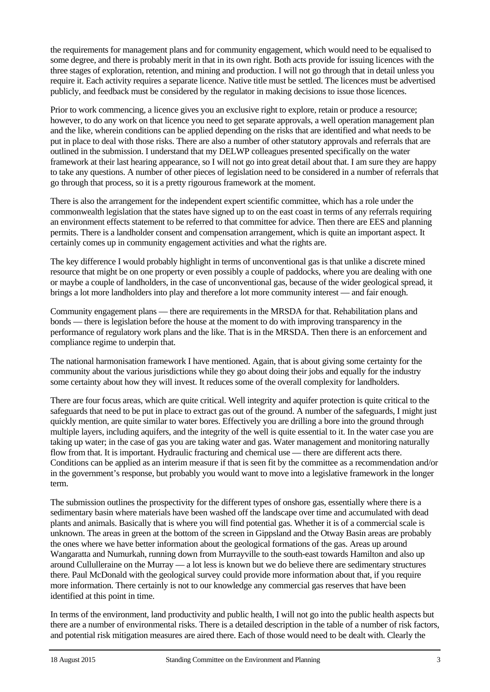the requirements for management plans and for community engagement, which would need to be equalised to some degree, and there is probably merit in that in its own right. Both acts provide for issuing licences with the three stages of exploration, retention, and mining and production. I will not go through that in detail unless you require it. Each activity requires a separate licence. Native title must be settled. The licences must be advertised publicly, and feedback must be considered by the regulator in making decisions to issue those licences.

Prior to work commencing, a licence gives you an exclusive right to explore, retain or produce a resource; however, to do any work on that licence you need to get separate approvals, a well operation management plan and the like, wherein conditions can be applied depending on the risks that are identified and what needs to be put in place to deal with those risks. There are also a number of other statutory approvals and referrals that are outlined in the submission. I understand that my DELWP colleagues presented specifically on the water framework at their last hearing appearance, so I will not go into great detail about that. I am sure they are happy to take any questions. A number of other pieces of legislation need to be considered in a number of referrals that go through that process, so it is a pretty rigourous framework at the moment.

There is also the arrangement for the independent expert scientific committee, which has a role under the commonwealth legislation that the states have signed up to on the east coast in terms of any referrals requiring an environment effects statement to be referred to that committee for advice. Then there are EES and planning permits. There is a landholder consent and compensation arrangement, which is quite an important aspect. It certainly comes up in community engagement activities and what the rights are.

The key difference I would probably highlight in terms of unconventional gas is that unlike a discrete mined resource that might be on one property or even possibly a couple of paddocks, where you are dealing with one or maybe a couple of landholders, in the case of unconventional gas, because of the wider geological spread, it brings a lot more landholders into play and therefore a lot more community interest — and fair enough.

Community engagement plans — there are requirements in the MRSDA for that. Rehabilitation plans and bonds — there is legislation before the house at the moment to do with improving transparency in the performance of regulatory work plans and the like. That is in the MRSDA. Then there is an enforcement and compliance regime to underpin that.

The national harmonisation framework I have mentioned. Again, that is about giving some certainty for the community about the various jurisdictions while they go about doing their jobs and equally for the industry some certainty about how they will invest. It reduces some of the overall complexity for landholders.

There are four focus areas, which are quite critical. Well integrity and aquifer protection is quite critical to the safeguards that need to be put in place to extract gas out of the ground. A number of the safeguards, I might just quickly mention, are quite similar to water bores. Effectively you are drilling a bore into the ground through multiple layers, including aquifers, and the integrity of the well is quite essential to it. In the water case you are taking up water; in the case of gas you are taking water and gas. Water management and monitoring naturally flow from that. It is important. Hydraulic fracturing and chemical use — there are different acts there. Conditions can be applied as an interim measure if that is seen fit by the committee as a recommendation and/or in the government's response, but probably you would want to move into a legislative framework in the longer term.

The submission outlines the prospectivity for the different types of onshore gas, essentially where there is a sedimentary basin where materials have been washed off the landscape over time and accumulated with dead plants and animals. Basically that is where you will find potential gas. Whether it is of a commercial scale is unknown. The areas in green at the bottom of the screen in Gippsland and the Otway Basin areas are probably the ones where we have better information about the geological formations of the gas. Areas up around Wangaratta and Numurkah, running down from Murrayville to the south-east towards Hamilton and also up around Cullulleraine on the Murray — a lot less is known but we do believe there are sedimentary structures there. Paul McDonald with the geological survey could provide more information about that, if you require more information. There certainly is not to our knowledge any commercial gas reserves that have been identified at this point in time.

In terms of the environment, land productivity and public health, I will not go into the public health aspects but there are a number of environmental risks. There is a detailed description in the table of a number of risk factors, and potential risk mitigation measures are aired there. Each of those would need to be dealt with. Clearly the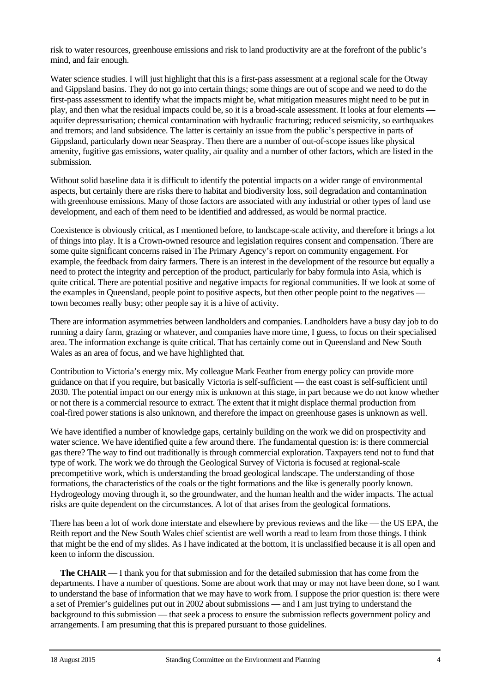risk to water resources, greenhouse emissions and risk to land productivity are at the forefront of the public's mind, and fair enough.

Water science studies. I will just highlight that this is a first-pass assessment at a regional scale for the Otway and Gippsland basins. They do not go into certain things; some things are out of scope and we need to do the first-pass assessment to identify what the impacts might be, what mitigation measures might need to be put in play, and then what the residual impacts could be, so it is a broad-scale assessment. It looks at four elements aquifer depressurisation; chemical contamination with hydraulic fracturing; reduced seismicity, so earthquakes and tremors; and land subsidence. The latter is certainly an issue from the public's perspective in parts of Gippsland, particularly down near Seaspray. Then there are a number of out-of-scope issues like physical amenity, fugitive gas emissions, water quality, air quality and a number of other factors, which are listed in the submission.

Without solid baseline data it is difficult to identify the potential impacts on a wider range of environmental aspects, but certainly there are risks there to habitat and biodiversity loss, soil degradation and contamination with greenhouse emissions. Many of those factors are associated with any industrial or other types of land use development, and each of them need to be identified and addressed, as would be normal practice.

Coexistence is obviously critical, as I mentioned before, to landscape-scale activity, and therefore it brings a lot of things into play. It is a Crown-owned resource and legislation requires consent and compensation. There are some quite significant concerns raised in The Primary Agency's report on community engagement. For example, the feedback from dairy farmers. There is an interest in the development of the resource but equally a need to protect the integrity and perception of the product, particularly for baby formula into Asia, which is quite critical. There are potential positive and negative impacts for regional communities. If we look at some of the examples in Queensland, people point to positive aspects, but then other people point to the negatives town becomes really busy; other people say it is a hive of activity.

There are information asymmetries between landholders and companies. Landholders have a busy day job to do running a dairy farm, grazing or whatever, and companies have more time, I guess, to focus on their specialised area. The information exchange is quite critical. That has certainly come out in Queensland and New South Wales as an area of focus, and we have highlighted that.

Contribution to Victoria's energy mix. My colleague Mark Feather from energy policy can provide more guidance on that if you require, but basically Victoria is self-sufficient — the east coast is self-sufficient until 2030. The potential impact on our energy mix is unknown at this stage, in part because we do not know whether or not there is a commercial resource to extract. The extent that it might displace thermal production from coal-fired power stations is also unknown, and therefore the impact on greenhouse gases is unknown as well.

We have identified a number of knowledge gaps, certainly building on the work we did on prospectivity and water science. We have identified quite a few around there. The fundamental question is: is there commercial gas there? The way to find out traditionally is through commercial exploration. Taxpayers tend not to fund that type of work. The work we do through the Geological Survey of Victoria is focused at regional-scale precompetitive work, which is understanding the broad geological landscape. The understanding of those formations, the characteristics of the coals or the tight formations and the like is generally poorly known. Hydrogeology moving through it, so the groundwater, and the human health and the wider impacts. The actual risks are quite dependent on the circumstances. A lot of that arises from the geological formations.

There has been a lot of work done interstate and elsewhere by previous reviews and the like — the US EPA, the Reith report and the New South Wales chief scientist are well worth a read to learn from those things. I think that might be the end of my slides. As I have indicated at the bottom, it is unclassified because it is all open and keen to inform the discussion.

**The CHAIR** — I thank you for that submission and for the detailed submission that has come from the departments. I have a number of questions. Some are about work that may or may not have been done, so I want to understand the base of information that we may have to work from. I suppose the prior question is: there were a set of Premier's guidelines put out in 2002 about submissions — and I am just trying to understand the background to this submission — that seek a process to ensure the submission reflects government policy and arrangements. I am presuming that this is prepared pursuant to those guidelines.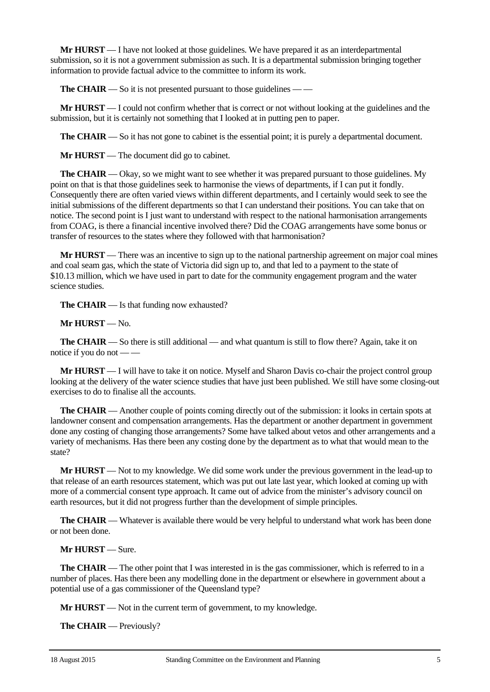**Mr HURST** — I have not looked at those guidelines. We have prepared it as an interdepartmental submission, so it is not a government submission as such. It is a departmental submission bringing together information to provide factual advice to the committee to inform its work.

**The CHAIR** — So it is not presented pursuant to those guidelines — —

**Mr HURST** — I could not confirm whether that is correct or not without looking at the guidelines and the submission, but it is certainly not something that I looked at in putting pen to paper.

**The CHAIR** — So it has not gone to cabinet is the essential point; it is purely a departmental document.

**Mr HURST** — The document did go to cabinet.

**The CHAIR** — Okay, so we might want to see whether it was prepared pursuant to those guidelines. My point on that is that those guidelines seek to harmonise the views of departments, if I can put it fondly. Consequently there are often varied views within different departments, and I certainly would seek to see the initial submissions of the different departments so that I can understand their positions. You can take that on notice. The second point is I just want to understand with respect to the national harmonisation arrangements from COAG, is there a financial incentive involved there? Did the COAG arrangements have some bonus or transfer of resources to the states where they followed with that harmonisation?

**Mr HURST** — There was an incentive to sign up to the national partnership agreement on major coal mines and coal seam gas, which the state of Victoria did sign up to, and that led to a payment to the state of \$10.13 million, which we have used in part to date for the community engagement program and the water science studies.

**The CHAIR** — Is that funding now exhausted?

**Mr HURST** — No.

**The CHAIR** — So there is still additional — and what quantum is still to flow there? Again, take it on notice if you do not — —

**Mr HURST** — I will have to take it on notice. Myself and Sharon Davis co-chair the project control group looking at the delivery of the water science studies that have just been published. We still have some closing-out exercises to do to finalise all the accounts.

**The CHAIR** — Another couple of points coming directly out of the submission: it looks in certain spots at landowner consent and compensation arrangements. Has the department or another department in government done any costing of changing those arrangements? Some have talked about vetos and other arrangements and a variety of mechanisms. Has there been any costing done by the department as to what that would mean to the state?

**Mr HURST** — Not to my knowledge. We did some work under the previous government in the lead-up to that release of an earth resources statement, which was put out late last year, which looked at coming up with more of a commercial consent type approach. It came out of advice from the minister's advisory council on earth resources, but it did not progress further than the development of simple principles.

**The CHAIR** — Whatever is available there would be very helpful to understand what work has been done or not been done.

**Mr HURST** — Sure.

**The CHAIR** — The other point that I was interested in is the gas commissioner, which is referred to in a number of places. Has there been any modelling done in the department or elsewhere in government about a potential use of a gas commissioner of the Queensland type?

**Mr HURST** — Not in the current term of government, to my knowledge.

**The CHAIR** — Previously?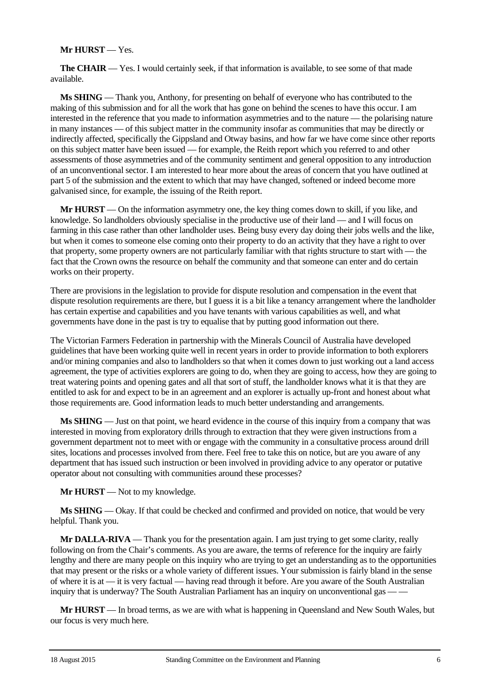## **Mr HURST** — Yes.

**The CHAIR** — Yes. I would certainly seek, if that information is available, to see some of that made available.

**Ms SHING** — Thank you, Anthony, for presenting on behalf of everyone who has contributed to the making of this submission and for all the work that has gone on behind the scenes to have this occur. I am interested in the reference that you made to information asymmetries and to the nature — the polarising nature in many instances — of this subject matter in the community insofar as communities that may be directly or indirectly affected, specifically the Gippsland and Otway basins, and how far we have come since other reports on this subject matter have been issued — for example, the Reith report which you referred to and other assessments of those asymmetries and of the community sentiment and general opposition to any introduction of an unconventional sector. I am interested to hear more about the areas of concern that you have outlined at part 5 of the submission and the extent to which that may have changed, softened or indeed become more galvanised since, for example, the issuing of the Reith report.

**Mr HURST** — On the information asymmetry one, the key thing comes down to skill, if you like, and knowledge. So landholders obviously specialise in the productive use of their land — and I will focus on farming in this case rather than other landholder uses. Being busy every day doing their jobs wells and the like, but when it comes to someone else coming onto their property to do an activity that they have a right to over that property, some property owners are not particularly familiar with that rights structure to start with — the fact that the Crown owns the resource on behalf the community and that someone can enter and do certain works on their property.

There are provisions in the legislation to provide for dispute resolution and compensation in the event that dispute resolution requirements are there, but I guess it is a bit like a tenancy arrangement where the landholder has certain expertise and capabilities and you have tenants with various capabilities as well, and what governments have done in the past is try to equalise that by putting good information out there.

The Victorian Farmers Federation in partnership with the Minerals Council of Australia have developed guidelines that have been working quite well in recent years in order to provide information to both explorers and/or mining companies and also to landholders so that when it comes down to just working out a land access agreement, the type of activities explorers are going to do, when they are going to access, how they are going to treat watering points and opening gates and all that sort of stuff, the landholder knows what it is that they are entitled to ask for and expect to be in an agreement and an explorer is actually up-front and honest about what those requirements are. Good information leads to much better understanding and arrangements.

**Ms SHING** — Just on that point, we heard evidence in the course of this inquiry from a company that was interested in moving from exploratory drills through to extraction that they were given instructions from a government department not to meet with or engage with the community in a consultative process around drill sites, locations and processes involved from there. Feel free to take this on notice, but are you aware of any department that has issued such instruction or been involved in providing advice to any operator or putative operator about not consulting with communities around these processes?

**Mr HURST** — Not to my knowledge.

**Ms SHING** — Okay. If that could be checked and confirmed and provided on notice, that would be very helpful. Thank you.

**Mr DALLA-RIVA** — Thank you for the presentation again. I am just trying to get some clarity, really following on from the Chair's comments. As you are aware, the terms of reference for the inquiry are fairly lengthy and there are many people on this inquiry who are trying to get an understanding as to the opportunities that may present or the risks or a whole variety of different issues. Your submission is fairly bland in the sense of where it is at — it is very factual — having read through it before. Are you aware of the South Australian inquiry that is underway? The South Australian Parliament has an inquiry on unconventional gas — —

**Mr HURST** — In broad terms, as we are with what is happening in Queensland and New South Wales, but our focus is very much here.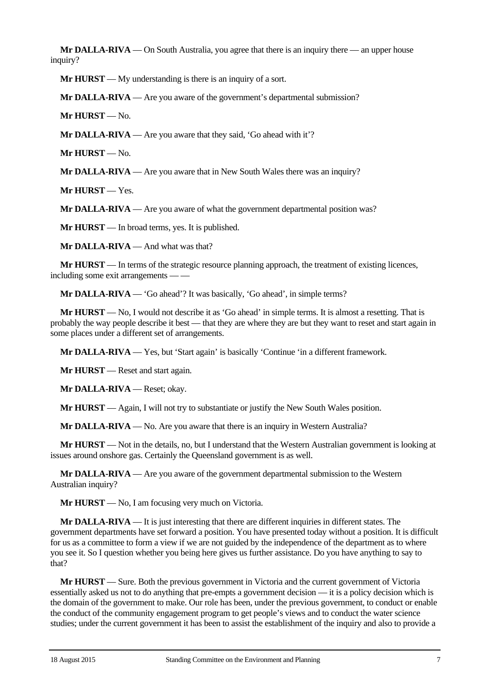**Mr DALLA-RIVA** — On South Australia, you agree that there is an inquiry there — an upper house inquiry?

**Mr HURST** — My understanding is there is an inquiry of a sort.

**Mr DALLA-RIVA** — Are you aware of the government's departmental submission?

**Mr HURST** — No.

**Mr DALLA-RIVA** — Are you aware that they said, 'Go ahead with it'?

**Mr HURST** — No.

**Mr DALLA-RIVA** — Are you aware that in New South Wales there was an inquiry?

**Mr HURST** — Yes.

**Mr DALLA-RIVA** — Are you aware of what the government departmental position was?

**Mr HURST** — In broad terms, yes. It is published.

**Mr DALLA-RIVA** — And what was that?

**Mr HURST** — In terms of the strategic resource planning approach, the treatment of existing licences, including some exit arrangements -

**Mr DALLA-RIVA** — 'Go ahead'? It was basically, 'Go ahead', in simple terms?

**Mr HURST** — No, I would not describe it as 'Go ahead' in simple terms. It is almost a resetting. That is probably the way people describe it best — that they are where they are but they want to reset and start again in some places under a different set of arrangements.

**Mr DALLA-RIVA** — Yes, but 'Start again' is basically 'Continue 'in a different framework.

**Mr HURST** — Reset and start again.

**Mr DALLA-RIVA** — Reset; okay.

**Mr HURST** — Again, I will not try to substantiate or justify the New South Wales position.

**Mr DALLA-RIVA** — No. Are you aware that there is an inquiry in Western Australia?

**Mr HURST** — Not in the details, no, but I understand that the Western Australian government is looking at issues around onshore gas. Certainly the Queensland government is as well.

**Mr DALLA-RIVA** — Are you aware of the government departmental submission to the Western Australian inquiry?

**Mr HURST** — No, I am focusing very much on Victoria.

**Mr DALLA-RIVA** — It is just interesting that there are different inquiries in different states. The government departments have set forward a position. You have presented today without a position. It is difficult for us as a committee to form a view if we are not guided by the independence of the department as to where you see it. So I question whether you being here gives us further assistance. Do you have anything to say to that?

**Mr HURST** — Sure. Both the previous government in Victoria and the current government of Victoria essentially asked us not to do anything that pre-empts a government decision — it is a policy decision which is the domain of the government to make. Our role has been, under the previous government, to conduct or enable the conduct of the community engagement program to get people's views and to conduct the water science studies; under the current government it has been to assist the establishment of the inquiry and also to provide a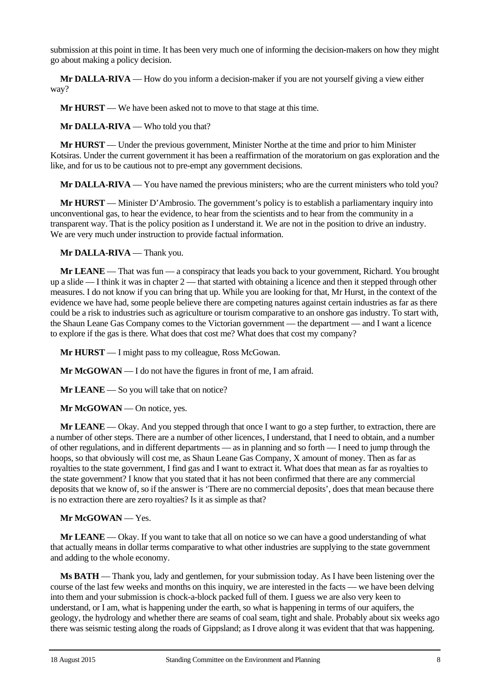submission at this point in time. It has been very much one of informing the decision-makers on how they might go about making a policy decision.

**Mr DALLA-RIVA** — How do you inform a decision-maker if you are not yourself giving a view either way?

**Mr HURST** — We have been asked not to move to that stage at this time.

**Mr DALLA-RIVA** — Who told you that?

**Mr HURST** — Under the previous government, Minister Northe at the time and prior to him Minister Kotsiras. Under the current government it has been a reaffirmation of the moratorium on gas exploration and the like, and for us to be cautious not to pre-empt any government decisions.

**Mr DALLA-RIVA** — You have named the previous ministers; who are the current ministers who told you?

**Mr HURST** — Minister D'Ambrosio. The government's policy is to establish a parliamentary inquiry into unconventional gas, to hear the evidence, to hear from the scientists and to hear from the community in a transparent way. That is the policy position as I understand it. We are not in the position to drive an industry. We are very much under instruction to provide factual information.

**Mr DALLA-RIVA** — Thank you.

**Mr LEANE** — That was fun — a conspiracy that leads you back to your government, Richard. You brought up a slide  $-I$  think it was in chapter  $2$  — that started with obtaining a licence and then it stepped through other measures. I do not know if you can bring that up. While you are looking for that, Mr Hurst, in the context of the evidence we have had, some people believe there are competing natures against certain industries as far as there could be a risk to industries such as agriculture or tourism comparative to an onshore gas industry. To start with, the Shaun Leane Gas Company comes to the Victorian government — the department — and I want a licence to explore if the gas is there. What does that cost me? What does that cost my company?

**Mr HURST** — I might pass to my colleague, Ross McGowan.

**Mr McGOWAN** — I do not have the figures in front of me, I am afraid.

**Mr LEANE** — So you will take that on notice?

**Mr McGOWAN** — On notice, yes.

**Mr LEANE** — Okay. And you stepped through that once I want to go a step further, to extraction, there are a number of other steps. There are a number of other licences, I understand, that I need to obtain, and a number of other regulations, and in different departments — as in planning and so forth — I need to jump through the hoops, so that obviously will cost me, as Shaun Leane Gas Company, X amount of money. Then as far as royalties to the state government, I find gas and I want to extract it. What does that mean as far as royalties to the state government? I know that you stated that it has not been confirmed that there are any commercial deposits that we know of, so if the answer is 'There are no commercial deposits', does that mean because there is no extraction there are zero royalties? Is it as simple as that?

#### **Mr McGOWAN** — Yes.

**Mr LEANE** — Okay. If you want to take that all on notice so we can have a good understanding of what that actually means in dollar terms comparative to what other industries are supplying to the state government and adding to the whole economy.

**Ms BATH** — Thank you, lady and gentlemen, for your submission today. As I have been listening over the course of the last few weeks and months on this inquiry, we are interested in the facts — we have been delving into them and your submission is chock-a-block packed full of them. I guess we are also very keen to understand, or I am, what is happening under the earth, so what is happening in terms of our aquifers, the geology, the hydrology and whether there are seams of coal seam, tight and shale. Probably about six weeks ago there was seismic testing along the roads of Gippsland; as I drove along it was evident that that was happening.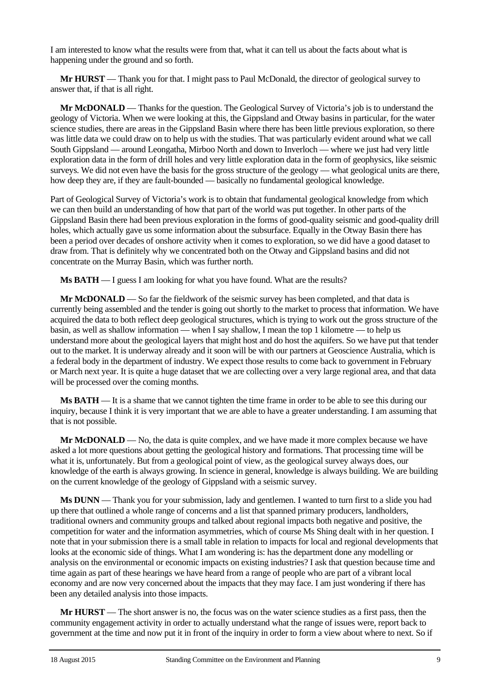I am interested to know what the results were from that, what it can tell us about the facts about what is happening under the ground and so forth.

**Mr HURST** — Thank you for that. I might pass to Paul McDonald, the director of geological survey to answer that, if that is all right.

**Mr McDONALD** — Thanks for the question. The Geological Survey of Victoria's job is to understand the geology of Victoria. When we were looking at this, the Gippsland and Otway basins in particular, for the water science studies, there are areas in the Gippsland Basin where there has been little previous exploration, so there was little data we could draw on to help us with the studies. That was particularly evident around what we call South Gippsland — around Leongatha, Mirboo North and down to Inverloch — where we just had very little exploration data in the form of drill holes and very little exploration data in the form of geophysics, like seismic surveys. We did not even have the basis for the gross structure of the geology — what geological units are there, how deep they are, if they are fault-bounded — basically no fundamental geological knowledge.

Part of Geological Survey of Victoria's work is to obtain that fundamental geological knowledge from which we can then build an understanding of how that part of the world was put together. In other parts of the Gippsland Basin there had been previous exploration in the forms of good-quality seismic and good-quality drill holes, which actually gave us some information about the subsurface. Equally in the Otway Basin there has been a period over decades of onshore activity when it comes to exploration, so we did have a good dataset to draw from. That is definitely why we concentrated both on the Otway and Gippsland basins and did not concentrate on the Murray Basin, which was further north.

**Ms BATH** — I guess I am looking for what you have found. What are the results?

**Mr McDONALD** — So far the fieldwork of the seismic survey has been completed, and that data is currently being assembled and the tender is going out shortly to the market to process that information. We have acquired the data to both reflect deep geological structures, which is trying to work out the gross structure of the basin, as well as shallow information — when I say shallow, I mean the top 1 kilometre — to help us understand more about the geological layers that might host and do host the aquifers. So we have put that tender out to the market. It is underway already and it soon will be with our partners at Geoscience Australia, which is a federal body in the department of industry. We expect those results to come back to government in February or March next year. It is quite a huge dataset that we are collecting over a very large regional area, and that data will be processed over the coming months.

**Ms BATH** — It is a shame that we cannot tighten the time frame in order to be able to see this during our inquiry, because I think it is very important that we are able to have a greater understanding. I am assuming that that is not possible.

**Mr McDONALD** — No, the data is quite complex, and we have made it more complex because we have asked a lot more questions about getting the geological history and formations. That processing time will be what it is, unfortunately. But from a geological point of view, as the geological survey always does, our knowledge of the earth is always growing. In science in general, knowledge is always building. We are building on the current knowledge of the geology of Gippsland with a seismic survey.

**Ms DUNN** — Thank you for your submission, lady and gentlemen. I wanted to turn first to a slide you had up there that outlined a whole range of concerns and a list that spanned primary producers, landholders, traditional owners and community groups and talked about regional impacts both negative and positive, the competition for water and the information asymmetries, which of course Ms Shing dealt with in her question. I note that in your submission there is a small table in relation to impacts for local and regional developments that looks at the economic side of things. What I am wondering is: has the department done any modelling or analysis on the environmental or economic impacts on existing industries? I ask that question because time and time again as part of these hearings we have heard from a range of people who are part of a vibrant local economy and are now very concerned about the impacts that they may face. I am just wondering if there has been any detailed analysis into those impacts.

**Mr HURST** — The short answer is no, the focus was on the water science studies as a first pass, then the community engagement activity in order to actually understand what the range of issues were, report back to government at the time and now put it in front of the inquiry in order to form a view about where to next. So if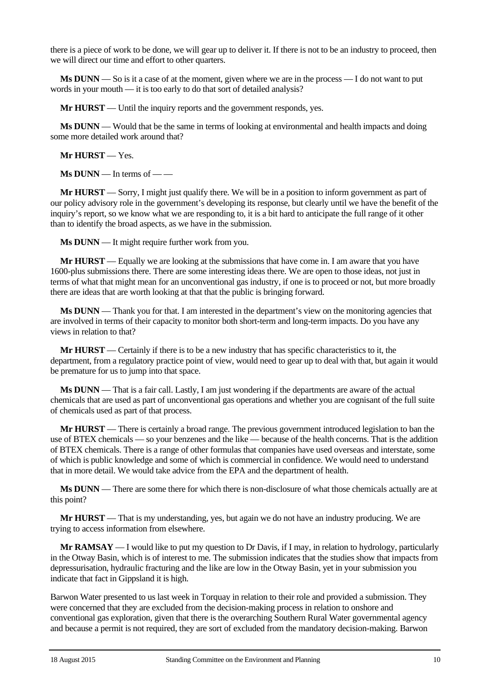there is a piece of work to be done, we will gear up to deliver it. If there is not to be an industry to proceed, then we will direct our time and effort to other quarters.

**Ms DUNN** — So is it a case of at the moment, given where we are in the process — I do not want to put words in your mouth — it is too early to do that sort of detailed analysis?

**Mr <b>HURST** — Until the inquiry reports and the government responds, yes.

**Ms DUNN** — Would that be the same in terms of looking at environmental and health impacts and doing some more detailed work around that?

**Mr HURST** — Yes.

**Ms DUNN** — In terms of — —

**Mr HURST** — Sorry, I might just qualify there. We will be in a position to inform government as part of our policy advisory role in the government's developing its response, but clearly until we have the benefit of the inquiry's report, so we know what we are responding to, it is a bit hard to anticipate the full range of it other than to identify the broad aspects, as we have in the submission.

**Ms DUNN** — It might require further work from you.

**Mr HURST** — Equally we are looking at the submissions that have come in. I am aware that you have 1600-plus submissions there. There are some interesting ideas there. We are open to those ideas, not just in terms of what that might mean for an unconventional gas industry, if one is to proceed or not, but more broadly there are ideas that are worth looking at that that the public is bringing forward.

**Ms DUNN** — Thank you for that. I am interested in the department's view on the monitoring agencies that are involved in terms of their capacity to monitor both short-term and long-term impacts. Do you have any views in relation to that?

**Mr HURST** — Certainly if there is to be a new industry that has specific characteristics to it, the department, from a regulatory practice point of view, would need to gear up to deal with that, but again it would be premature for us to jump into that space.

**Ms DUNN** — That is a fair call. Lastly, I am just wondering if the departments are aware of the actual chemicals that are used as part of unconventional gas operations and whether you are cognisant of the full suite of chemicals used as part of that process.

**Mr HURST** — There is certainly a broad range. The previous government introduced legislation to ban the use of BTEX chemicals — so your benzenes and the like — because of the health concerns. That is the addition of BTEX chemicals. There is a range of other formulas that companies have used overseas and interstate, some of which is public knowledge and some of which is commercial in confidence. We would need to understand that in more detail. We would take advice from the EPA and the department of health.

**Ms DUNN** — There are some there for which there is non-disclosure of what those chemicals actually are at this point?

**Mr HURST** — That is my understanding, yes, but again we do not have an industry producing. We are trying to access information from elsewhere.

**Mr RAMSAY** — I would like to put my question to Dr Davis, if I may, in relation to hydrology, particularly in the Otway Basin, which is of interest to me. The submission indicates that the studies show that impacts from depressurisation, hydraulic fracturing and the like are low in the Otway Basin, yet in your submission you indicate that fact in Gippsland it is high.

Barwon Water presented to us last week in Torquay in relation to their role and provided a submission. They were concerned that they are excluded from the decision-making process in relation to onshore and conventional gas exploration, given that there is the overarching Southern Rural Water governmental agency and because a permit is not required, they are sort of excluded from the mandatory decision-making. Barwon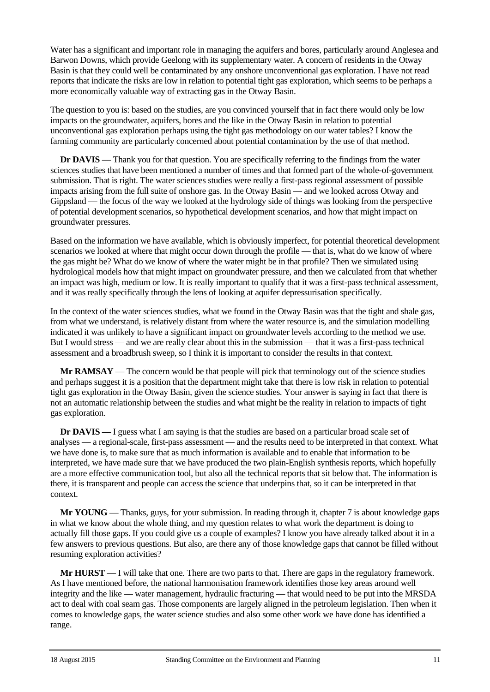Water has a significant and important role in managing the aquifers and bores, particularly around Anglesea and Barwon Downs, which provide Geelong with its supplementary water. A concern of residents in the Otway Basin is that they could well be contaminated by any onshore unconventional gas exploration. I have not read reports that indicate the risks are low in relation to potential tight gas exploration, which seems to be perhaps a more economically valuable way of extracting gas in the Otway Basin.

The question to you is: based on the studies, are you convinced yourself that in fact there would only be low impacts on the groundwater, aquifers, bores and the like in the Otway Basin in relation to potential unconventional gas exploration perhaps using the tight gas methodology on our water tables? I know the farming community are particularly concerned about potential contamination by the use of that method.

**Dr DAVIS** — Thank you for that question. You are specifically referring to the findings from the water sciences studies that have been mentioned a number of times and that formed part of the whole-of-government submission. That is right. The water sciences studies were really a first-pass regional assessment of possible impacts arising from the full suite of onshore gas. In the Otway Basin — and we looked across Otway and Gippsland — the focus of the way we looked at the hydrology side of things was looking from the perspective of potential development scenarios, so hypothetical development scenarios, and how that might impact on groundwater pressures.

Based on the information we have available, which is obviously imperfect, for potential theoretical development scenarios we looked at where that might occur down through the profile — that is, what do we know of where the gas might be? What do we know of where the water might be in that profile? Then we simulated using hydrological models how that might impact on groundwater pressure, and then we calculated from that whether an impact was high, medium or low. It is really important to qualify that it was a first-pass technical assessment, and it was really specifically through the lens of looking at aquifer depressurisation specifically.

In the context of the water sciences studies, what we found in the Otway Basin was that the tight and shale gas, from what we understand, is relatively distant from where the water resource is, and the simulation modelling indicated it was unlikely to have a significant impact on groundwater levels according to the method we use. But I would stress — and we are really clear about this in the submission — that it was a first-pass technical assessment and a broadbrush sweep, so I think it is important to consider the results in that context.

**Mr RAMSAY** — The concern would be that people will pick that terminology out of the science studies and perhaps suggest it is a position that the department might take that there is low risk in relation to potential tight gas exploration in the Otway Basin, given the science studies. Your answer is saying in fact that there is not an automatic relationship between the studies and what might be the reality in relation to impacts of tight gas exploration.

**Dr DAVIS** — I guess what I am saying is that the studies are based on a particular broad scale set of analyses — a regional-scale, first-pass assessment — and the results need to be interpreted in that context. What we have done is, to make sure that as much information is available and to enable that information to be interpreted, we have made sure that we have produced the two plain-English synthesis reports, which hopefully are a more effective communication tool, but also all the technical reports that sit below that. The information is there, it is transparent and people can access the science that underpins that, so it can be interpreted in that context.

**Mr YOUNG** — Thanks, guys, for your submission. In reading through it, chapter 7 is about knowledge gaps in what we know about the whole thing, and my question relates to what work the department is doing to actually fill those gaps. If you could give us a couple of examples? I know you have already talked about it in a few answers to previous questions. But also, are there any of those knowledge gaps that cannot be filled without resuming exploration activities?

**Mr HURST** — I will take that one. There are two parts to that. There are gaps in the regulatory framework. As I have mentioned before, the national harmonisation framework identifies those key areas around well integrity and the like — water management, hydraulic fracturing — that would need to be put into the MRSDA act to deal with coal seam gas. Those components are largely aligned in the petroleum legislation. Then when it comes to knowledge gaps, the water science studies and also some other work we have done has identified a range.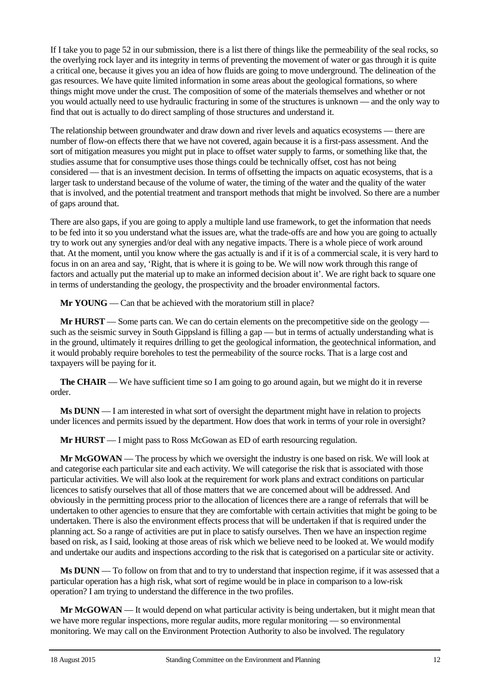If I take you to page 52 in our submission, there is a list there of things like the permeability of the seal rocks, so the overlying rock layer and its integrity in terms of preventing the movement of water or gas through it is quite a critical one, because it gives you an idea of how fluids are going to move underground. The delineation of the gas resources. We have quite limited information in some areas about the geological formations, so where things might move under the crust. The composition of some of the materials themselves and whether or not you would actually need to use hydraulic fracturing in some of the structures is unknown — and the only way to find that out is actually to do direct sampling of those structures and understand it.

The relationship between groundwater and draw down and river levels and aquatics ecosystems — there are number of flow-on effects there that we have not covered, again because it is a first-pass assessment. And the sort of mitigation measures you might put in place to offset water supply to farms, or something like that, the studies assume that for consumptive uses those things could be technically offset, cost has not being considered — that is an investment decision. In terms of offsetting the impacts on aquatic ecosystems, that is a larger task to understand because of the volume of water, the timing of the water and the quality of the water that is involved, and the potential treatment and transport methods that might be involved. So there are a number of gaps around that.

There are also gaps, if you are going to apply a multiple land use framework, to get the information that needs to be fed into it so you understand what the issues are, what the trade-offs are and how you are going to actually try to work out any synergies and/or deal with any negative impacts. There is a whole piece of work around that. At the moment, until you know where the gas actually is and if it is of a commercial scale, it is very hard to focus in on an area and say, 'Right, that is where it is going to be. We will now work through this range of factors and actually put the material up to make an informed decision about it'. We are right back to square one in terms of understanding the geology, the prospectivity and the broader environmental factors.

**Mr YOUNG** — Can that be achieved with the moratorium still in place?

**Mr HURST** — Some parts can. We can do certain elements on the precompetitive side on the geology such as the seismic survey in South Gippsland is filling a gap — but in terms of actually understanding what is in the ground, ultimately it requires drilling to get the geological information, the geotechnical information, and it would probably require boreholes to test the permeability of the source rocks. That is a large cost and taxpayers will be paying for it.

**The CHAIR** — We have sufficient time so I am going to go around again, but we might do it in reverse order.

**Ms DUNN** — I am interested in what sort of oversight the department might have in relation to projects under licences and permits issued by the department. How does that work in terms of your role in oversight?

**Mr HURST** — I might pass to Ross McGowan as ED of earth resourcing regulation.

**Mr McGOWAN** — The process by which we oversight the industry is one based on risk. We will look at and categorise each particular site and each activity. We will categorise the risk that is associated with those particular activities. We will also look at the requirement for work plans and extract conditions on particular licences to satisfy ourselves that all of those matters that we are concerned about will be addressed. And obviously in the permitting process prior to the allocation of licences there are a range of referrals that will be undertaken to other agencies to ensure that they are comfortable with certain activities that might be going to be undertaken. There is also the environment effects process that will be undertaken if that is required under the planning act. So a range of activities are put in place to satisfy ourselves. Then we have an inspection regime based on risk, as I said, looking at those areas of risk which we believe need to be looked at. We would modify and undertake our audits and inspections according to the risk that is categorised on a particular site or activity.

**Ms DUNN** — To follow on from that and to try to understand that inspection regime, if it was assessed that a particular operation has a high risk, what sort of regime would be in place in comparison to a low-risk operation? I am trying to understand the difference in the two profiles.

**Mr McGOWAN** — It would depend on what particular activity is being undertaken, but it might mean that we have more regular inspections, more regular audits, more regular monitoring — so environmental monitoring. We may call on the Environment Protection Authority to also be involved. The regulatory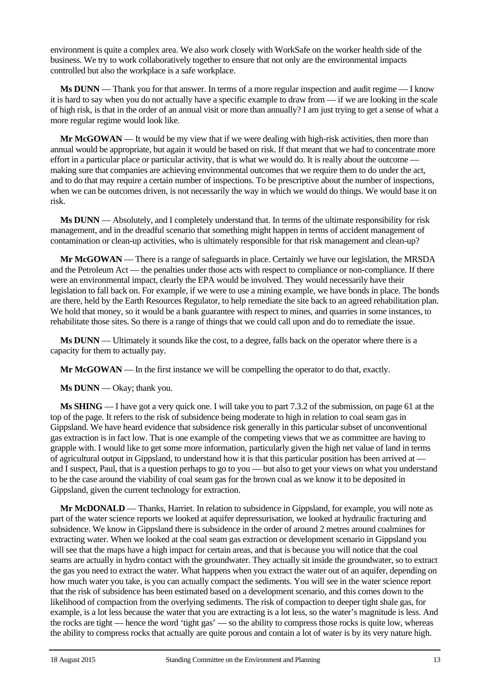environment is quite a complex area. We also work closely with WorkSafe on the worker health side of the business. We try to work collaboratively together to ensure that not only are the environmental impacts controlled but also the workplace is a safe workplace.

**Ms DUNN** — Thank you for that answer. In terms of a more regular inspection and audit regime — I know it is hard to say when you do not actually have a specific example to draw from — if we are looking in the scale of high risk, is that in the order of an annual visit or more than annually? I am just trying to get a sense of what a more regular regime would look like.

**Mr McGOWAN** — It would be my view that if we were dealing with high-risk activities, then more than annual would be appropriate, but again it would be based on risk. If that meant that we had to concentrate more effort in a particular place or particular activity, that is what we would do. It is really about the outcome making sure that companies are achieving environmental outcomes that we require them to do under the act, and to do that may require a certain number of inspections. To be prescriptive about the number of inspections, when we can be outcomes driven, is not necessarily the way in which we would do things. We would base it on risk.

**Ms DUNN** — Absolutely, and I completely understand that. In terms of the ultimate responsibility for risk management, and in the dreadful scenario that something might happen in terms of accident management of contamination or clean-up activities, who is ultimately responsible for that risk management and clean-up?

**Mr McGOWAN** — There is a range of safeguards in place. Certainly we have our legislation, the MRSDA and the Petroleum Act — the penalties under those acts with respect to compliance or non-compliance. If there were an environmental impact, clearly the EPA would be involved. They would necessarily have their legislation to fall back on. For example, if we were to use a mining example, we have bonds in place. The bonds are there, held by the Earth Resources Regulator, to help remediate the site back to an agreed rehabilitation plan. We hold that money, so it would be a bank guarantee with respect to mines, and quarries in some instances, to rehabilitate those sites. So there is a range of things that we could call upon and do to remediate the issue.

**Ms DUNN** — Ultimately it sounds like the cost, to a degree, falls back on the operator where there is a capacity for them to actually pay.

**Mr McGOWAN** — In the first instance we will be compelling the operator to do that, exactly.

**Ms DUNN** — Okay; thank you.

**Ms SHING** — I have got a very quick one. I will take you to part 7.3.2 of the submission, on page 61 at the top of the page. It refers to the risk of subsidence being moderate to high in relation to coal seam gas in Gippsland. We have heard evidence that subsidence risk generally in this particular subset of unconventional gas extraction is in fact low. That is one example of the competing views that we as committee are having to grapple with. I would like to get some more information, particularly given the high net value of land in terms of agricultural output in Gippsland, to understand how it is that this particular position has been arrived at and I suspect, Paul, that is a question perhaps to go to you — but also to get your views on what you understand to be the case around the viability of coal seam gas for the brown coal as we know it to be deposited in Gippsland, given the current technology for extraction.

**Mr McDONALD** — Thanks, Harriet. In relation to subsidence in Gippsland, for example, you will note as part of the water science reports we looked at aquifer depressurisation, we looked at hydraulic fracturing and subsidence. We know in Gippsland there is subsidence in the order of around 2 metres around coalmines for extracting water. When we looked at the coal seam gas extraction or development scenario in Gippsland you will see that the maps have a high impact for certain areas, and that is because you will notice that the coal seams are actually in hydro contact with the groundwater. They actually sit inside the groundwater, so to extract the gas you need to extract the water. What happens when you extract the water out of an aquifer, depending on how much water you take, is you can actually compact the sediments. You will see in the water science report that the risk of subsidence has been estimated based on a development scenario, and this comes down to the likelihood of compaction from the overlying sediments. The risk of compaction to deeper tight shale gas, for example, is a lot less because the water that you are extracting is a lot less, so the water's magnitude is less. And the rocks are tight — hence the word 'tight gas' — so the ability to compress those rocks is quite low, whereas the ability to compress rocks that actually are quite porous and contain a lot of water is by its very nature high.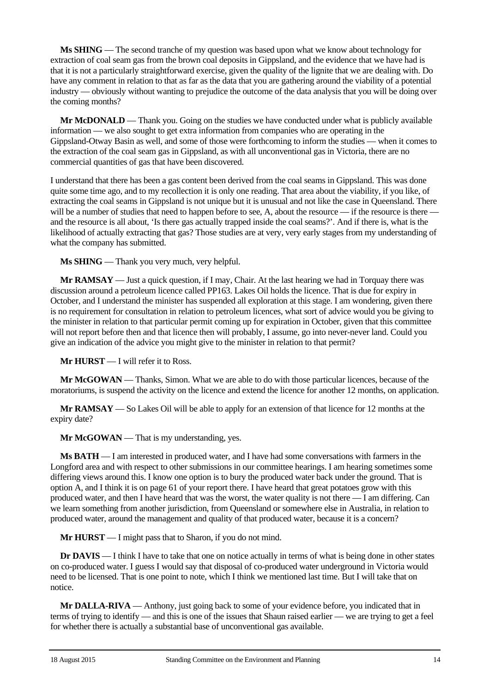**Ms SHING** — The second tranche of my question was based upon what we know about technology for extraction of coal seam gas from the brown coal deposits in Gippsland, and the evidence that we have had is that it is not a particularly straightforward exercise, given the quality of the lignite that we are dealing with. Do have any comment in relation to that as far as the data that you are gathering around the viability of a potential industry — obviously without wanting to prejudice the outcome of the data analysis that you will be doing over the coming months?

**Mr McDONALD** — Thank you. Going on the studies we have conducted under what is publicly available information — we also sought to get extra information from companies who are operating in the Gippsland-Otway Basin as well, and some of those were forthcoming to inform the studies — when it comes to the extraction of the coal seam gas in Gippsland, as with all unconventional gas in Victoria, there are no commercial quantities of gas that have been discovered.

I understand that there has been a gas content been derived from the coal seams in Gippsland. This was done quite some time ago, and to my recollection it is only one reading. That area about the viability, if you like, of extracting the coal seams in Gippsland is not unique but it is unusual and not like the case in Queensland. There will be a number of studies that need to happen before to see, A, about the resource — if the resource is there and the resource is all about, 'Is there gas actually trapped inside the coal seams?'. And if there is, what is the likelihood of actually extracting that gas? Those studies are at very, very early stages from my understanding of what the company has submitted.

**Ms SHING** — Thank you very much, very helpful.

**Mr RAMSAY** — Just a quick question, if I may, Chair. At the last hearing we had in Torquay there was discussion around a petroleum licence called PP163. Lakes Oil holds the licence. That is due for expiry in October, and I understand the minister has suspended all exploration at this stage. I am wondering, given there is no requirement for consultation in relation to petroleum licences, what sort of advice would you be giving to the minister in relation to that particular permit coming up for expiration in October, given that this committee will not report before then and that licence then will probably, I assume, go into never-never land. Could you give an indication of the advice you might give to the minister in relation to that permit?

**Mr HURST** — I will refer it to Ross.

**Mr McGOWAN** — Thanks, Simon. What we are able to do with those particular licences, because of the moratoriums, is suspend the activity on the licence and extend the licence for another 12 months, on application.

**Mr RAMSAY** — So Lakes Oil will be able to apply for an extension of that licence for 12 months at the expiry date?

**Mr McGOWAN** — That is my understanding, yes.

**Ms BATH** — I am interested in produced water, and I have had some conversations with farmers in the Longford area and with respect to other submissions in our committee hearings. I am hearing sometimes some differing views around this. I know one option is to bury the produced water back under the ground. That is option A, and I think it is on page 61 of your report there. I have heard that great potatoes grow with this produced water, and then I have heard that was the worst, the water quality is not there — I am differing. Can we learn something from another jurisdiction, from Queensland or somewhere else in Australia, in relation to produced water, around the management and quality of that produced water, because it is a concern?

**Mr HURST** — I might pass that to Sharon, if you do not mind.

**Dr DAVIS** — I think I have to take that one on notice actually in terms of what is being done in other states on co-produced water. I guess I would say that disposal of co-produced water underground in Victoria would need to be licensed. That is one point to note, which I think we mentioned last time. But I will take that on notice.

**Mr DALLA-RIVA** — Anthony, just going back to some of your evidence before, you indicated that in terms of trying to identify — and this is one of the issues that Shaun raised earlier — we are trying to get a feel for whether there is actually a substantial base of unconventional gas available.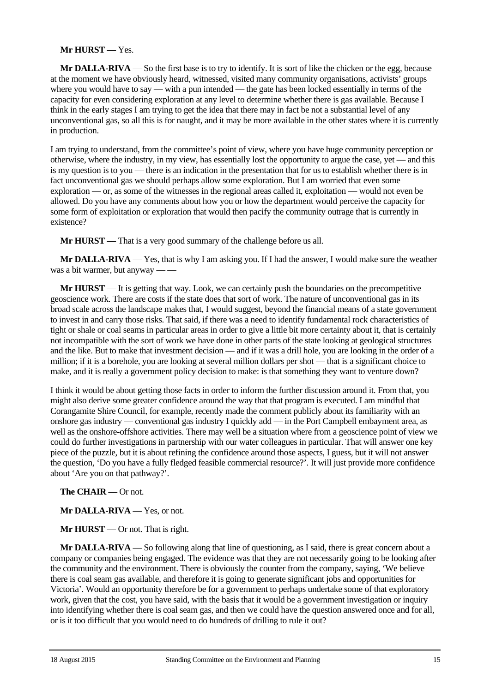## **Mr HURST** — Yes.

**Mr DALLA-RIVA** — So the first base is to try to identify. It is sort of like the chicken or the egg, because at the moment we have obviously heard, witnessed, visited many community organisations, activists' groups where you would have to say — with a pun intended — the gate has been locked essentially in terms of the capacity for even considering exploration at any level to determine whether there is gas available. Because I think in the early stages I am trying to get the idea that there may in fact be not a substantial level of any unconventional gas, so all this is for naught, and it may be more available in the other states where it is currently in production.

I am trying to understand, from the committee's point of view, where you have huge community perception or otherwise, where the industry, in my view, has essentially lost the opportunity to argue the case, yet — and this is my question is to you — there is an indication in the presentation that for us to establish whether there is in fact unconventional gas we should perhaps allow some exploration. But I am worried that even some exploration — or, as some of the witnesses in the regional areas called it, exploitation — would not even be allowed. Do you have any comments about how you or how the department would perceive the capacity for some form of exploitation or exploration that would then pacify the community outrage that is currently in existence?

**Mr HURST** — That is a very good summary of the challenge before us all.

**Mr DALLA-RIVA** — Yes, that is why I am asking you. If I had the answer, I would make sure the weather was a bit warmer, but anyway — —

**Mr HURST** — It is getting that way. Look, we can certainly push the boundaries on the precompetitive geoscience work. There are costs if the state does that sort of work. The nature of unconventional gas in its broad scale across the landscape makes that, I would suggest, beyond the financial means of a state government to invest in and carry those risks. That said, if there was a need to identify fundamental rock characteristics of tight or shale or coal seams in particular areas in order to give a little bit more certainty about it, that is certainly not incompatible with the sort of work we have done in other parts of the state looking at geological structures and the like. But to make that investment decision — and if it was a drill hole, you are looking in the order of a million; if it is a borehole, you are looking at several million dollars per shot — that is a significant choice to make, and it is really a government policy decision to make: is that something they want to venture down?

I think it would be about getting those facts in order to inform the further discussion around it. From that, you might also derive some greater confidence around the way that that program is executed. I am mindful that Corangamite Shire Council, for example, recently made the comment publicly about its familiarity with an onshore gas industry — conventional gas industry I quickly add — in the Port Campbell embayment area, as well as the onshore-offshore activities. There may well be a situation where from a geoscience point of view we could do further investigations in partnership with our water colleagues in particular. That will answer one key piece of the puzzle, but it is about refining the confidence around those aspects, I guess, but it will not answer the question, 'Do you have a fully fledged feasible commercial resource?'. It will just provide more confidence about 'Are you on that pathway?'.

**The CHAIR** — Or not.

**Mr DALLA-RIVA** — Yes, or not.

**Mr HURST** — Or not. That is right.

**Mr DALLA-RIVA** — So following along that line of questioning, as I said, there is great concern about a company or companies being engaged. The evidence was that they are not necessarily going to be looking after the community and the environment. There is obviously the counter from the company, saying, 'We believe there is coal seam gas available, and therefore it is going to generate significant jobs and opportunities for Victoria'. Would an opportunity therefore be for a government to perhaps undertake some of that exploratory work, given that the cost, you have said, with the basis that it would be a government investigation or inquiry into identifying whether there is coal seam gas, and then we could have the question answered once and for all, or is it too difficult that you would need to do hundreds of drilling to rule it out?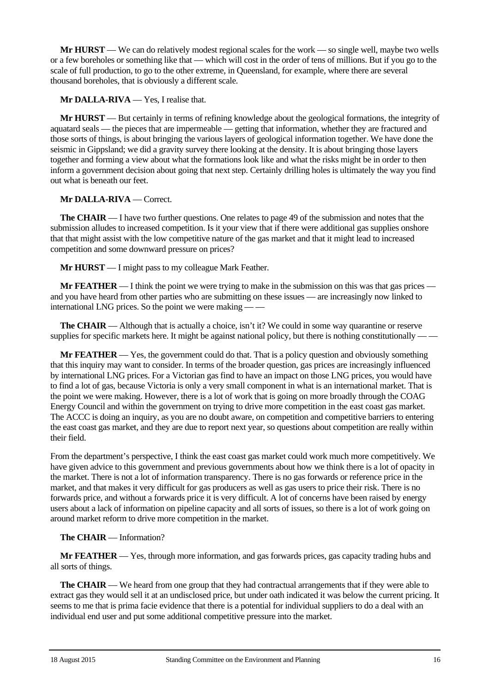**Mr HURST** — We can do relatively modest regional scales for the work — so single well, maybe two wells or a few boreholes or something like that — which will cost in the order of tens of millions. But if you go to the scale of full production, to go to the other extreme, in Queensland, for example, where there are several thousand boreholes, that is obviously a different scale.

**Mr DALLA-RIVA** — Yes, I realise that.

**Mr HURST** — But certainly in terms of refining knowledge about the geological formations, the integrity of aquatard seals — the pieces that are impermeable — getting that information, whether they are fractured and those sorts of things, is about bringing the various layers of geological information together. We have done the seismic in Gippsland; we did a gravity survey there looking at the density. It is about bringing those layers together and forming a view about what the formations look like and what the risks might be in order to then inform a government decision about going that next step. Certainly drilling holes is ultimately the way you find out what is beneath our feet.

## **Mr DALLA-RIVA** — Correct.

**The CHAIR** — I have two further questions. One relates to page 49 of the submission and notes that the submission alludes to increased competition. Is it your view that if there were additional gas supplies onshore that that might assist with the low competitive nature of the gas market and that it might lead to increased competition and some downward pressure on prices?

**Mr HURST** — I might pass to my colleague Mark Feather.

**Mr FEATHER** — I think the point we were trying to make in the submission on this was that gas prices and you have heard from other parties who are submitting on these issues — are increasingly now linked to international LNG prices. So the point we were making — —

**The CHAIR** — Although that is actually a choice, isn't it? We could in some way quarantine or reserve supplies for specific markets here. It might be against national policy, but there is nothing constitutionally — —

**Mr FEATHER** — Yes, the government could do that. That is a policy question and obviously something that this inquiry may want to consider. In terms of the broader question, gas prices are increasingly influenced by international LNG prices. For a Victorian gas find to have an impact on those LNG prices, you would have to find a lot of gas, because Victoria is only a very small component in what is an international market. That is the point we were making. However, there is a lot of work that is going on more broadly through the COAG Energy Council and within the government on trying to drive more competition in the east coast gas market. The ACCC is doing an inquiry, as you are no doubt aware, on competition and competitive barriers to entering the east coast gas market, and they are due to report next year, so questions about competition are really within their field.

From the department's perspective, I think the east coast gas market could work much more competitively. We have given advice to this government and previous governments about how we think there is a lot of opacity in the market. There is not a lot of information transparency. There is no gas forwards or reference price in the market, and that makes it very difficult for gas producers as well as gas users to price their risk. There is no forwards price, and without a forwards price it is very difficult. A lot of concerns have been raised by energy users about a lack of information on pipeline capacity and all sorts of issues, so there is a lot of work going on around market reform to drive more competition in the market.

## **The CHAIR** — Information?

**Mr FEATHER** — Yes, through more information, and gas forwards prices, gas capacity trading hubs and all sorts of things.

**The CHAIR** — We heard from one group that they had contractual arrangements that if they were able to extract gas they would sell it at an undisclosed price, but under oath indicated it was below the current pricing. It seems to me that is prima facie evidence that there is a potential for individual suppliers to do a deal with an individual end user and put some additional competitive pressure into the market.